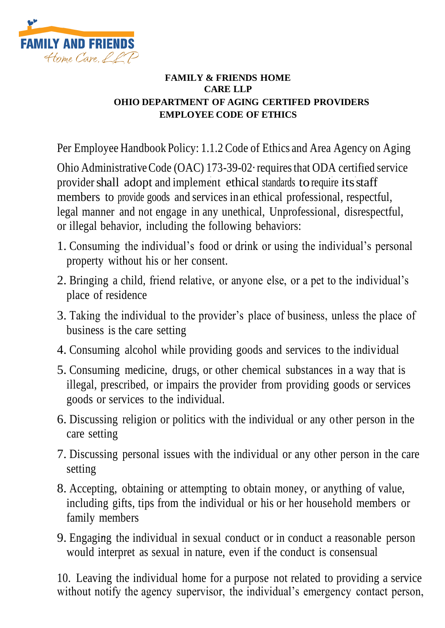

## **FAMILY & FRIENDS HOME CARE LLP OHIO DEPARTMENT OF AGING CERTIFED PROVIDERS EMPLOYEE CODE OF ETHICS**

Per Employee Handbook Policy: 1.1.2 Code of Ethics and Area Agency on Aging

provider shall adopt and implement ethical standards to require its staff Ohio Administrative Code (OAC) 173-39-02·requires that ODA certified service members to provide goods and services in an ethical professional, respectful, legal manner and not engage in any unethical, Unprofessional, disrespectful, or illegal behavior, including the following behaviors:

9. Engaging the individual in sexual conduct or in conduct a reasonable person would interpret as sexual in nature, even if the conduct is consensual

10. Leaving the individual home for a purpose not related to providing a service without notify the agency supervisor, the individual's emergency contact person,

- 1. Consuming the individual's food or drink or using the individual's personal property without his or her consent.
- 2. Bringing a child, friend relative, or anyone else, or a pet to the individual's place of residence
- 3. Taking the individual to the provider's place of business, unless the place of business is the care setting
- 4. Consuming alcohol while providing goods and services to the individual
- 5. Consuming medicine, drugs, or other chemical substances in a way that is illegal, prescribed, or impairs the provider from providing goods or services goods or services to the individual.
- 6. Discussing religion or politics with the individual or any other person in the care setting
- 7. Discussing personal issues with the individual or any other person in the care setting

## 8. Accepting, obtaining or attempting to obtain money, or anything of value, including gifts, tips from the individual or his or her household members or family members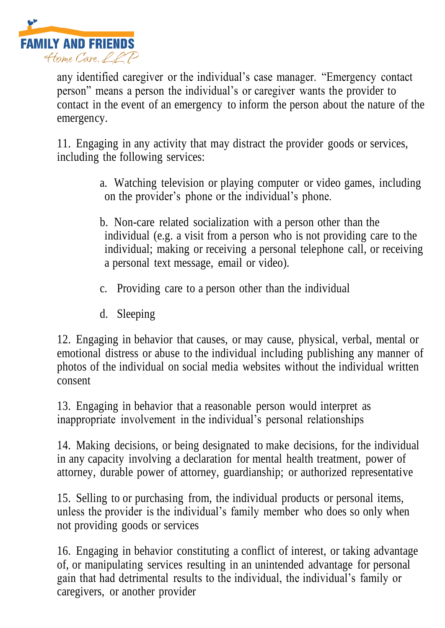

any identified caregiver or the individual's case manager. "Emergency contact person" means a person the individual's or caregiver wants the provider to contact in the event of an emergency to inform the person about the nature of the emergency.

11. Engaging in any activity that may distract the provider goods or services, including the following services:

> a. Watching television or playing computer or video games, including on the provider's phone or the individual's phone.

> b. Non-care related socialization with a person other than the individual (e.g. a visit from a person who is not providing care to the individual; making or receiving a personal telephone call, or receiving a personal text message, email or video).

- c. Providing care to a person other than the individual
- d. Sleeping

12. Engaging in behavior that causes, or may cause, physical, verbal, mental or emotional distress or abuse to the individual including publishing any manner of photos of the individual on social media websites without the individual written consent

13. Engaging in behavior that a reasonable person would interpret as inappropriate involvement in the individual's personal relationships

14. Making decisions, or being designated to make decisions, for the individual in any capacity involving a declaration for mental health treatment, power of attorney, durable power of attorney, guardianship; or authorized representative

15. Selling to or purchasing from, the individual products or personal items, unless the provider is the individual's family member who does so only when not providing goods or services

16. Engaging in behavior constituting a conflict of interest, or taking advantage of, or manipulating services resulting in an unintended advantage for personal gain that had detrimental results to the individual, the individual's family or caregivers, or another provider